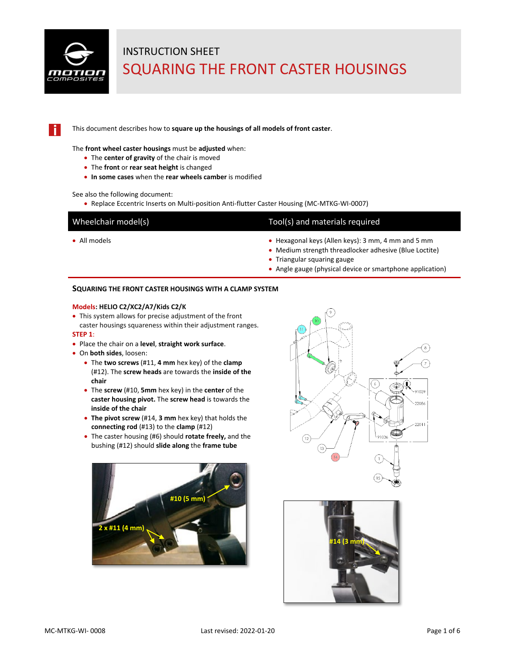

This document describes how to **square up the housings of all models of front caster**.

The **front wheel caster housings** must be **adjusted** when:

- The **center of gravity** of the chair is moved
- The **front** or **rear seat height** is changed
- **In some cases** when the **rear wheels camber** is modified

See also the following document:

• Replace Eccentric Inserts on Multi-position Anti-flutter Caster Housing (MC-MTKG-WI-0007)

### Tool(s) and materials required

- All models All models Hexagonal keys (Allen keys): 3 mm, 4 mm and 5 mm
	- Medium strength threadlocker adhesive (Blue Loctite)
	- Triangular squaring gauge
	- Angle gauge (physical device or smartphone application)

#### **SQUARING THE FRONT CASTER HOUSINGS WITH A CLAMP SYSTEM**

#### **Models: HELIO C2/XC2/A7/Kids C2/K**

• This system allows for precise adjustment of the front caster housings squareness within their adjustment ranges.

#### **STEP 1**:

- Place the chair on a **level**, **straight work surface**.
- On **both sides**, loosen:
	- The **two screws** (#11, **4 mm** hex key) of the **clamp**  (#12). The **screw heads** are towards the **inside of the chair**
	- The **screw** (#10, **5mm** hex key) in the **center** of the **caster housing pivot.** The **screw head** is towards the **inside of the chair**
	- **The pivot screw** (#14, **3 mm** hex key) that holds the **connecting rod** (#13) to the **clamp** (#12)
	- The caster housing (#6) should **rotate freely,** and the bushing (#12) should **slide along** the **frame tube**





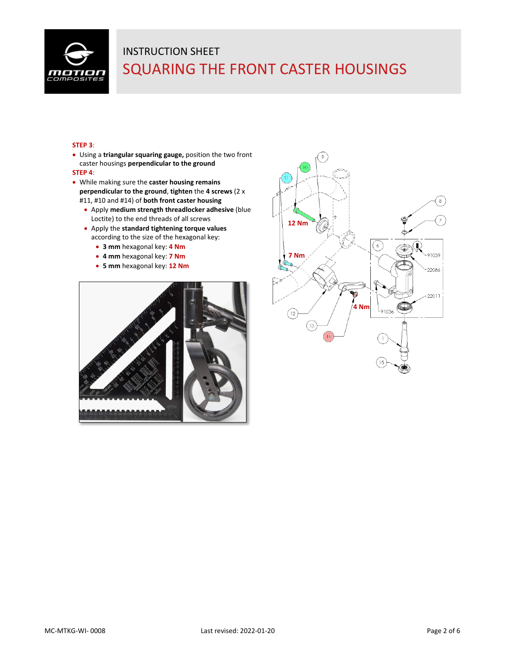

### **STEP 3**:

• Using a **triangular squaring gauge,** position the two front caster housings **perpendicular to the ground**

#### **STEP 4**:

- While making sure the **caster housing remains perpendicular to the ground**, **tighten** the **4 screws** (2 x #11, #10 and #14) of **both front caster housing**
	- Apply **medium strength threadlocker adhesive** (blue Loctite) to the end threads of all screws
	- Apply the **standard tightening torque values** according to the size of the hexagonal key:
		- **3 mm** hexagonal key: **4 Nm**
		- **4 mm** hexagonal key: **7 Nm**
		- **5 mm** hexagonal key: **12 Nm**



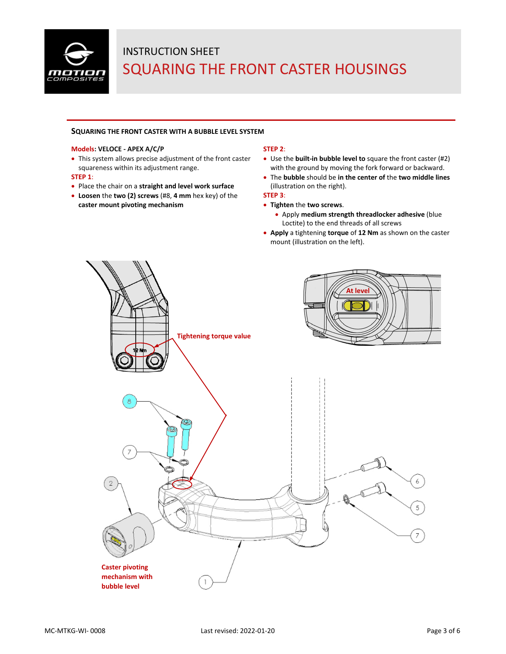

#### **SQUARING THE FRONT CASTER WITH A BUBBLE LEVEL SYSTEM**

#### **Models: VELOCE - APEX A/C/P**

• This system allows precise adjustment of the front caster squareness within its adjustment range.

#### **STEP 1**:

- Place the chair on a **straight and level work surface**
- **Loosen** the **two (2) screws** (#8, **4 mm** hex key) of the **caster mount pivoting mechanism**

#### **STEP 2**:

- Use the **built-in bubble level to** square the front caster (#2) with the ground by moving the fork forward or backward.
- The **bubble** should be **in the center of** the **two middle lines**  (illustration on the right).

### **STEP 3**:

- **Tighten** the **two screws**.
	- Apply **medium strength threadlocker adhesive** (blue Loctite) to the end threads of all screws
- **Apply** a tightening **torque** of **12 Nm** as shown on the caster mount (illustration on the left).

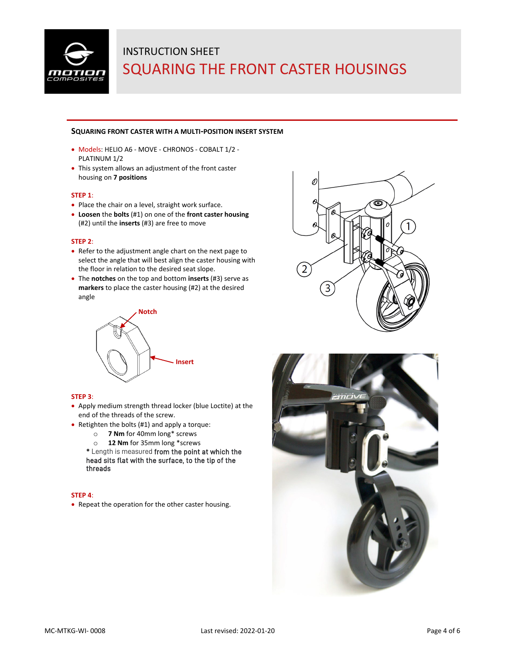

#### **SQUARING FRONT CASTER WITH A MULTI-POSITION INSERT SYSTEM**

- Models: HELIO A6 MOVE CHRONOS COBALT 1/2 PLATINUM 1/2
- This system allows an adjustment of the front caster housing on **7 positions**

#### **STEP 1**:

- Place the chair on a level, straight work surface.
- **Loosen** the **bolts** (#1) on one of the **front caster housing** (#2) until the **inserts** (#3) are free to move

#### **STEP 2**:

- Refer to the adjustment angle chart on the next page to select the angle that will best align the caster housing with the floor in relation to the desired seat slope.
- The **notches** on the top and bottom **inserts** (#3) serve as **markers** to place the caster housing (#2) at the desired angle



### **STEP 3**:

- Apply medium strength thread locker (blue Loctite) at the end of the threads of the screw.
- Retighten the bolts (#1) and apply a torque:
	- o **7 Nm** for 40mm long\* screws
	- o **12 Nm** for 35mm long \*screws

**\*** Length is measured from the point at which the head sits flat with the surface, to the tip of the threads

#### **STEP 4**:

• Repeat the operation for the other caster housing.



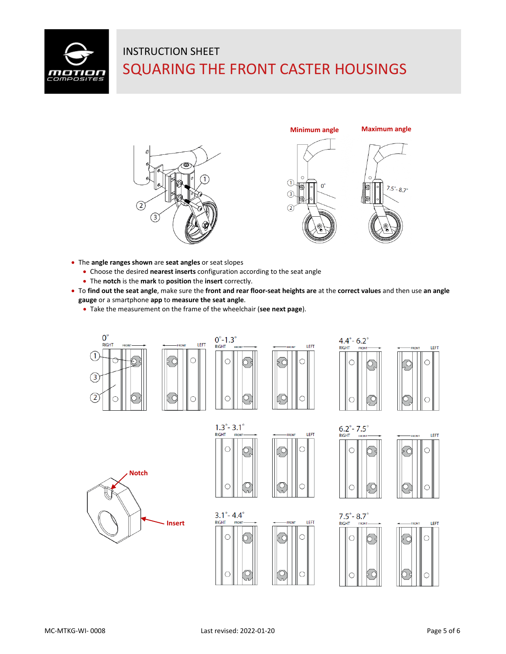





- The **angle ranges shown** are **seat angles** or seat slopes
	- Choose the desired **nearest inserts** configuration according to the seat angle
	- The **notch** is the **mark** to **position** the **insert** correctly.
- To **find out the seat angle**, make sure the **front and rear floor-seat heights are** at the **correct values** and then use **an angle gauge** or a smartphone **app** to **measure the seat angle**.
	- Take the measurement on the frame of the wheelchair (**see next page**).